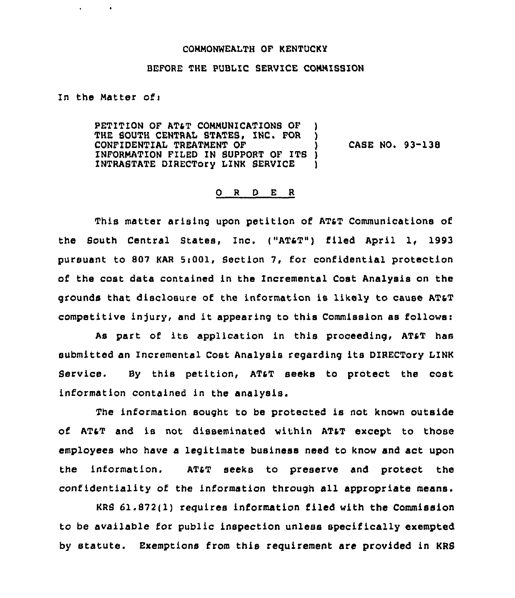## COMMONWEALTH OF KENTUCKY

## BEFORE THE PUBLIC SERVICE COMMISSION

In the Matter ofi

PETITION OF AT&T COMMUNICATIONS OF THE SOUTH CENTRAL STATES, INC. FOR CONFIDENTIAL TREATMENT OF ) 1NFORMATION FILED IN SUPPORT OF ITS ) INTRASTATE DIRECTory LINK SERVICE ) CASE NO. 93-138

## 0 R <sup>D</sup> E R

This matter arising upon petition of AT&T Communications of the South Central States, Inc. ("ATST") filed April 1, 1993 pursuant to 807 KAR 5:001, Section 7, for confidential protection of the cost data contained in the Incremental Cost Analysis on the grounds that disclosure of the information is likely to cause ATST competitive injury, and it appearing to this Commission as follows:

As part of its application in this proceeding, AT&T has submitted an Incremental Cost Analysis regarding its DIRECTory LINK service. By this petition, ATST seeks to protect the cost information contained in the analysis.

The information sought to be protected is not known outside of AT&T and is not disseminated within AT&T except to those employees who have a legitimate business need to know and act upon the information. ATsT seeks to preserve and protect the confidentiality of the information through all appropriate means.

KRS 61.872(1) requires information filed with the Commission to be available for public inspection unless specifically exempted by statute. Exemptions from this requirement are provided in KRS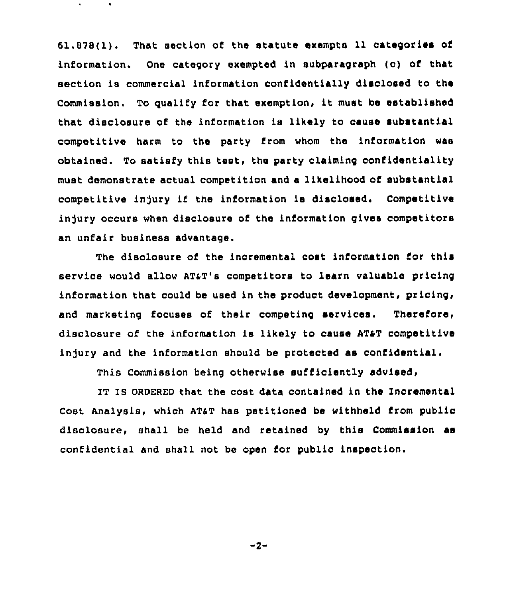61.878(1). That section of the statute exempts 11 categories of information. One category exempted in subparagraph (c) of that section is commercial information confidentially disclosed to the Commission. To qualify for that exemption, it must be established that disclosure of the information is likely to cause substantial competitive harm to the party from whom the information was obtained. To satisfy this test, the party claiming confidentiality must demonstrate actual competition and a likelihood of substantial competitive injury if the information is disclosed. Competitive injury occurs when disclosure of the information gives competitors an unfair business advantage.

The disclosure of the incremental cost information for this service would allow AT&T's competitors to learn valuable pricing information that could be used in the product development, pricing, and marketing focuses of their competing services. Therefore, disclosure of the information is likely to cause ATST competitive injury and the information should be protected as confidential.

This Commission being otherwise sufficiently advised,

IT IS ORDERED that the cost data contained in the Incremental Cost Analysis, which ATaT has petitioned be withheld from public disclosure, shall be held and retained by this Commission as confidential and shall not be open for public inspection.

 $-2-$